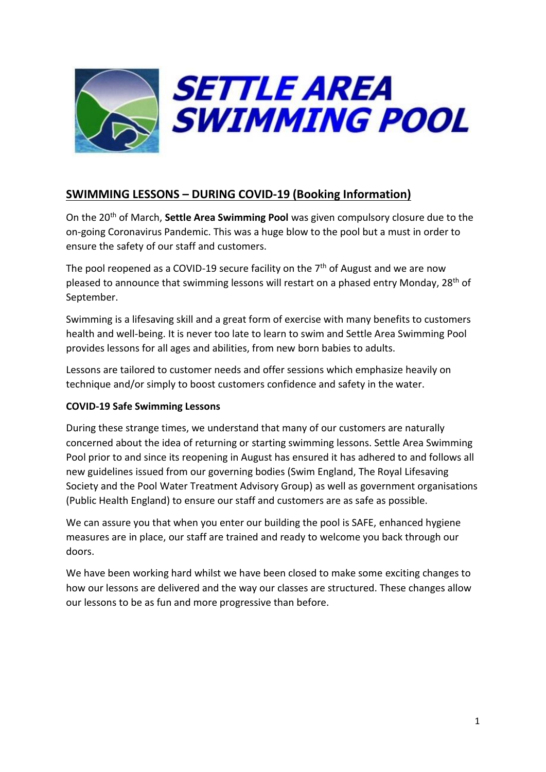

# **SWIMMING LESSONS – DURING COVID-19 (Booking Information)**

On the 20th of March, **Settle Area Swimming Pool** was given compulsory closure due to the on-going Coronavirus Pandemic. This was a huge blow to the pool but a must in order to ensure the safety of our staff and customers.

The pool reopened as a COVID-19 secure facility on the  $7<sup>th</sup>$  of August and we are now pleased to announce that swimming lessons will restart on a phased entry Monday, 28<sup>th</sup> of September.

Swimming is a lifesaving skill and a great form of exercise with many benefits to customers health and well-being. It is never too late to learn to swim and Settle Area Swimming Pool provides lessons for all ages and abilities, from new born babies to adults.

Lessons are tailored to customer needs and offer sessions which emphasize heavily on technique and/or simply to boost customers confidence and safety in the water.

## **COVID-19 Safe Swimming Lessons**

During these strange times, we understand that many of our customers are naturally concerned about the idea of returning or starting swimming lessons. Settle Area Swimming Pool prior to and since its reopening in August has ensured it has adhered to and follows all new guidelines issued from our governing bodies (Swim England, The Royal Lifesaving Society and the Pool Water Treatment Advisory Group) as well as government organisations (Public Health England) to ensure our staff and customers are as safe as possible.

We can assure you that when you enter our building the pool is SAFE, enhanced hygiene measures are in place, our staff are trained and ready to welcome you back through our doors.

We have been working hard whilst we have been closed to make some exciting changes to how our lessons are delivered and the way our classes are structured. These changes allow our lessons to be as fun and more progressive than before.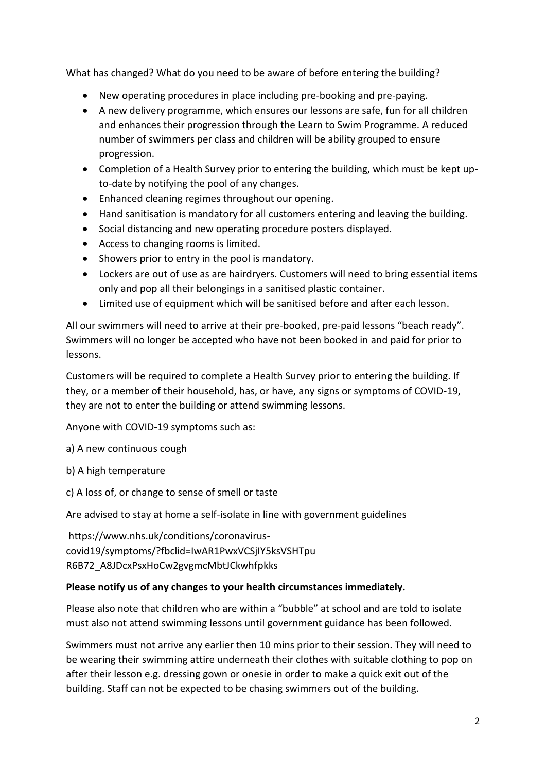What has changed? What do you need to be aware of before entering the building?

- New operating procedures in place including pre-booking and pre-paying.
- A new delivery programme, which ensures our lessons are safe, fun for all children and enhances their progression through the Learn to Swim Programme. A reduced number of swimmers per class and children will be ability grouped to ensure progression.
- Completion of a Health Survey prior to entering the building, which must be kept upto-date by notifying the pool of any changes.
- Enhanced cleaning regimes throughout our opening.
- Hand sanitisation is mandatory for all customers entering and leaving the building.
- Social distancing and new operating procedure posters displayed.
- Access to changing rooms is limited.
- Showers prior to entry in the pool is mandatory.
- Lockers are out of use as are hairdryers. Customers will need to bring essential items only and pop all their belongings in a sanitised plastic container.
- Limited use of equipment which will be sanitised before and after each lesson.

All our swimmers will need to arrive at their pre-booked, pre-paid lessons "beach ready". Swimmers will no longer be accepted who have not been booked in and paid for prior to lessons.

Customers will be required to complete a Health Survey prior to entering the building. If they, or a member of their household, has, or have, any signs or symptoms of COVID-19, they are not to enter the building or attend swimming lessons.

Anyone with COVID-19 symptoms such as:

a) A new continuous cough

b) A high temperature

c) A loss of, or change to sense of smell or taste

Are advised to stay at home a self-isolate in line with government guidelines

https://www.nhs.uk/conditions/coronaviruscovid19/symptoms/?fbclid=IwAR1PwxVCSjIY5ksVSHTpu R6B72\_A8JDcxPsxHoCw2gvgmcMbtJCkwhfpkks

### **Please notify us of any changes to your health circumstances immediately.**

Please also note that children who are within a "bubble" at school and are told to isolate must also not attend swimming lessons until government guidance has been followed.

Swimmers must not arrive any earlier then 10 mins prior to their session. They will need to be wearing their swimming attire underneath their clothes with suitable clothing to pop on after their lesson e.g. dressing gown or onesie in order to make a quick exit out of the building. Staff can not be expected to be chasing swimmers out of the building.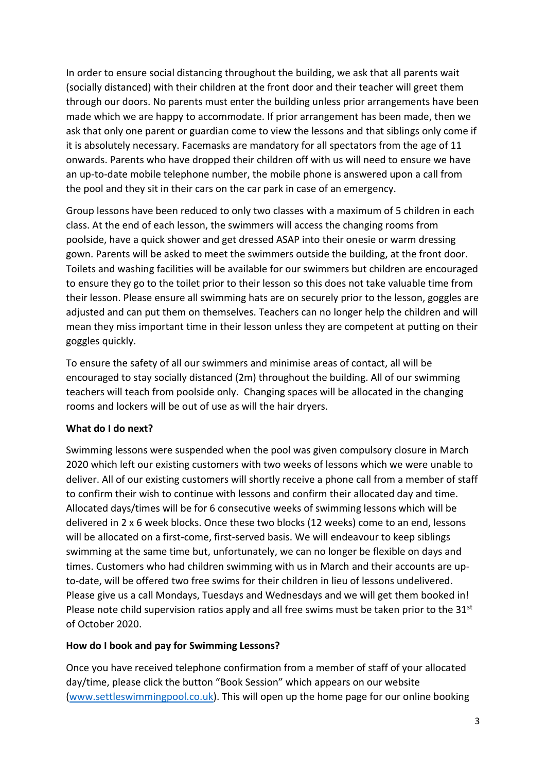In order to ensure social distancing throughout the building, we ask that all parents wait (socially distanced) with their children at the front door and their teacher will greet them through our doors. No parents must enter the building unless prior arrangements have been made which we are happy to accommodate. If prior arrangement has been made, then we ask that only one parent or guardian come to view the lessons and that siblings only come if it is absolutely necessary. Facemasks are mandatory for all spectators from the age of 11 onwards. Parents who have dropped their children off with us will need to ensure we have an up-to-date mobile telephone number, the mobile phone is answered upon a call from the pool and they sit in their cars on the car park in case of an emergency.

Group lessons have been reduced to only two classes with a maximum of 5 children in each class. At the end of each lesson, the swimmers will access the changing rooms from poolside, have a quick shower and get dressed ASAP into their onesie or warm dressing gown. Parents will be asked to meet the swimmers outside the building, at the front door. Toilets and washing facilities will be available for our swimmers but children are encouraged to ensure they go to the toilet prior to their lesson so this does not take valuable time from their lesson. Please ensure all swimming hats are on securely prior to the lesson, goggles are adjusted and can put them on themselves. Teachers can no longer help the children and will mean they miss important time in their lesson unless they are competent at putting on their goggles quickly.

To ensure the safety of all our swimmers and minimise areas of contact, all will be encouraged to stay socially distanced (2m) throughout the building. All of our swimming teachers will teach from poolside only. Changing spaces will be allocated in the changing rooms and lockers will be out of use as will the hair dryers.

### **What do I do next?**

Swimming lessons were suspended when the pool was given compulsory closure in March 2020 which left our existing customers with two weeks of lessons which we were unable to deliver. All of our existing customers will shortly receive a phone call from a member of staff to confirm their wish to continue with lessons and confirm their allocated day and time. Allocated days/times will be for 6 consecutive weeks of swimming lessons which will be delivered in 2 x 6 week blocks. Once these two blocks (12 weeks) come to an end, lessons will be allocated on a first-come, first-served basis. We will endeavour to keep siblings swimming at the same time but, unfortunately, we can no longer be flexible on days and times. Customers who had children swimming with us in March and their accounts are upto-date, will be offered two free swims for their children in lieu of lessons undelivered. Please give us a call Mondays, Tuesdays and Wednesdays and we will get them booked in! Please note child supervision ratios apply and all free swims must be taken prior to the  $31<sup>st</sup>$ of October 2020.

#### **How do I book and pay for Swimming Lessons?**

Once you have received telephone confirmation from a member of staff of your allocated day/time, please click the button "Book Session" which appears on our website [\(www.settleswimmingpool.co.uk\)](http://www.settleswimmingpool.co.uk/). This will open up the home page for our online booking